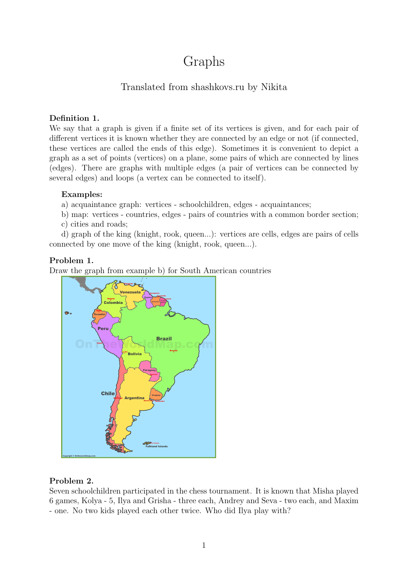# Graphs

# Translated from shashkovs.ru by Nikita

#### Definition 1.

We say that a graph is given if a finite set of its vertices is given, and for each pair of different vertices it is known whether they are connected by an edge or not (if connected, these vertices are called the ends of this edge). Sometimes it is convenient to depict a graph as a set of points (vertices) on a plane, some pairs of which are connected by lines (edges). There are graphs with multiple edges (a pair of vertices can be connected by several edges) and loops (a vertex can be connected to itself).

#### Examples:

a) acquaintance graph: vertices - schoolchildren, edges - acquaintances;

b) map: vertices - countries, edges - pairs of countries with a common border section;

c) cities and roads;

d) graph of the king (knight, rook, queen...): vertices are cells, edges are pairs of cells connected by one move of the king (knight, rook, queen...).

#### Problem 1.

Draw the graph from example b) for South American countries



#### Problem 2.

Seven schoolchildren participated in the chess tournament. It is known that Misha played 6 games, Kolya - 5, Ilya and Grisha - three each, Andrey and Seva - two each, and Maxim - one. No two kids played each other twice. Who did Ilya play with?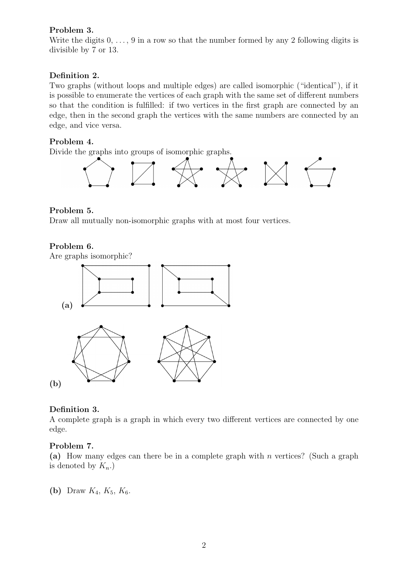## Problem 3.

Write the digits  $0, \ldots, 9$  in a row so that the number formed by any 2 following digits is divisible by 7 or 13.

# Definition 2.

Two graphs (without loops and multiple edges) are called isomorphic ("identical"), if it is possible to enumerate the vertices of each graph with the same set of different numbers so that the condition is fulfilled: if two vertices in the first graph are connected by an edge, then in the second graph the vertices with the same numbers are connected by an edge, and vice versa.

#### Problem 4.

Divide the graphs into groups of isomorphic graphs.



#### Problem 5.

Draw all mutually non-isomorphic graphs with at most four vertices.

#### Problem 6.

Are graphs isomorphic?



#### Definition 3.

A complete graph is a graph in which every two different vertices are connected by one edge.

#### Problem 7.

(a) How many edges can there be in a complete graph with n vertices? (Such a graph is denoted by  $K_n$ .)

(b) Draw  $K_4, K_5, K_6$ .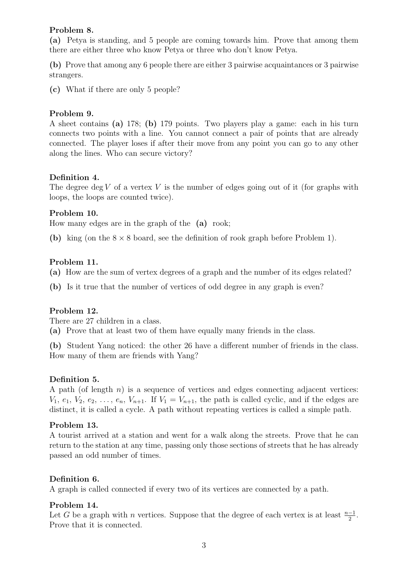#### Problem 8.

(a) Petya is standing, and 5 people are coming towards him. Prove that among them there are either three who know Petya or three who don't know Petya.

(b) Prove that among any 6 people there are either 3 pairwise acquaintances or 3 pairwise strangers.

(c) What if there are only 5 people?

## Problem 9.

A sheet contains (a) 178; (b) 179 points. Two players play a game: each in his turn connects two points with a line. You cannot connect a pair of points that are already connected. The player loses if after their move from any point you can go to any other along the lines. Who can secure victory?

## Definition 4.

The degree deg V of a vertex V is the number of edges going out of it (for graphs with loops, the loops are counted twice).

#### Problem 10.

How many edges are in the graph of the (a) rook;

(b) king (on the  $8 \times 8$  board, see the definition of rook graph before Problem 1).

## Problem 11.

(a) How are the sum of vertex degrees of a graph and the number of its edges related?

(b) Is it true that the number of vertices of odd degree in any graph is even?

## Problem 12.

There are 27 children in a class.

(a) Prove that at least two of them have equally many friends in the class.

(b) Student Yang noticed: the other 26 have a different number of friends in the class. How many of them are friends with Yang?

## Definition 5.

A path (of length  $n$ ) is a sequence of vertices and edges connecting adjacent vertices:  $V_1, e_1, V_2, e_2, \ldots, e_n, V_{n+1}$ . If  $V_1 = V_{n+1}$ , the path is called cyclic, and if the edges are distinct, it is called a cycle. A path without repeating vertices is called a simple path.

## Problem 13.

A tourist arrived at a station and went for a walk along the streets. Prove that he can return to the station at any time, passing only those sections of streets that he has already passed an odd number of times.

## Definition 6.

A graph is called connected if every two of its vertices are connected by a path.

#### Problem 14.

Let G be a graph with n vertices. Suppose that the degree of each vertex is at least  $\frac{n-1}{2}$ . Prove that it is connected.